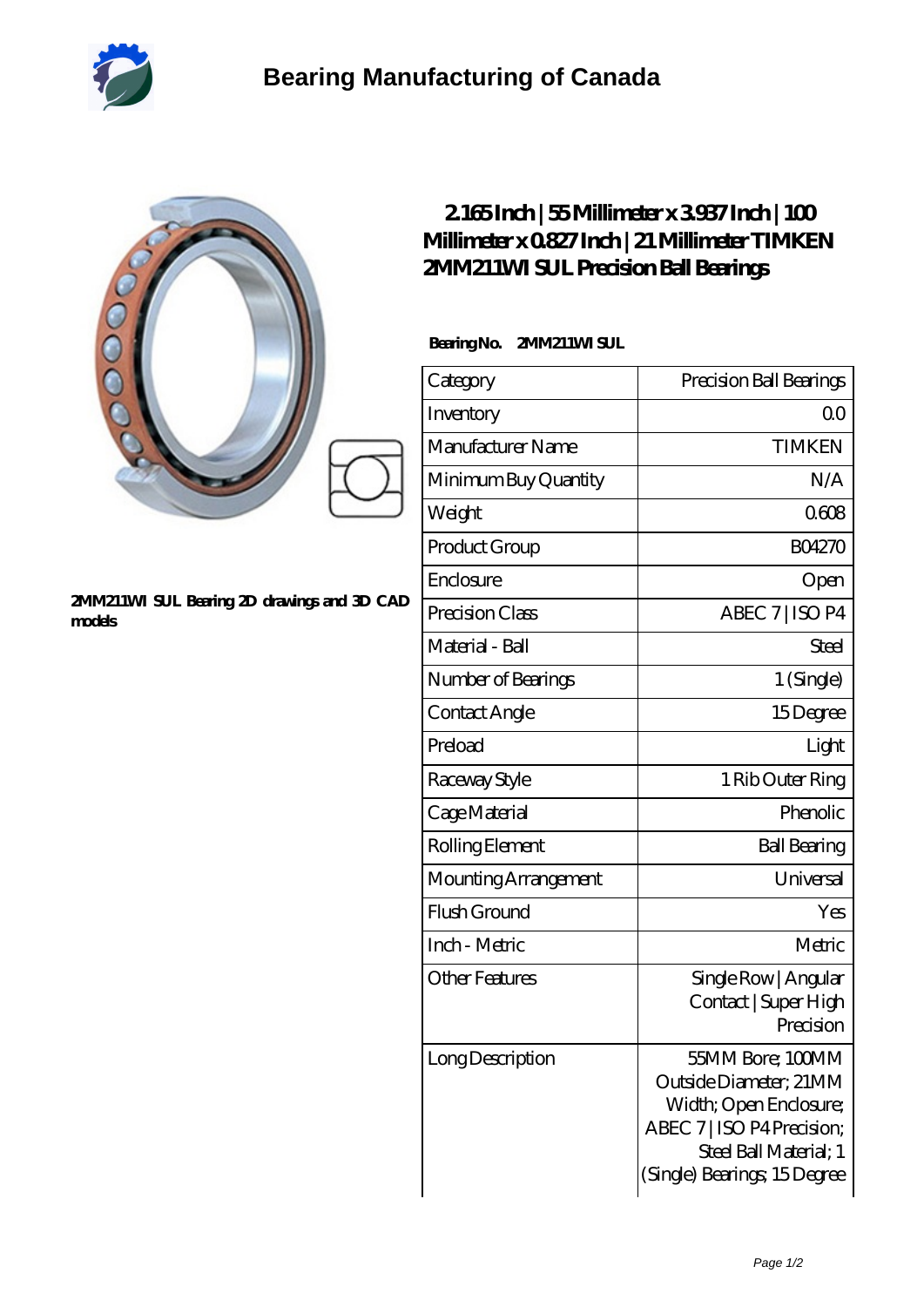

## **[2MM211WI SUL Bearing 2D drawings and 3D CAD](https://m.2whm.net/pic-265960.html) [models](https://m.2whm.net/pic-265960.html)**

## **[2.165 Inch | 55 Millimeter x 3.937 Inch | 100](https://m.2whm.net/af-265960-timken-2mm211wi-sul-precision-ball-bearings.html) [Millimeter x 0.827 Inch | 21 Millimeter TIMKEN](https://m.2whm.net/af-265960-timken-2mm211wi-sul-precision-ball-bearings.html) [2MM211WI SUL Precision Ball Bearings](https://m.2whm.net/af-265960-timken-2mm211wi-sul-precision-ball-bearings.html)**

 **Bearing No. 2MM211WI SUL**

| Category              | Precision Ball Bearings                                                                                                                                     |
|-----------------------|-------------------------------------------------------------------------------------------------------------------------------------------------------------|
| Inventory             | Q0                                                                                                                                                          |
| Manufacturer Name     | <b>TIMKEN</b>                                                                                                                                               |
| Minimum Buy Quantity  | N/A                                                                                                                                                         |
| Weight                | 0608                                                                                                                                                        |
| Product Group         | <b>BO4270</b>                                                                                                                                               |
| Enclosure             | Open                                                                                                                                                        |
| Precision Class       | ABEC 7   ISO P4                                                                                                                                             |
| Material - Ball       | Steel                                                                                                                                                       |
| Number of Bearings    | 1 (Single)                                                                                                                                                  |
| Contact Angle         | 15Degree                                                                                                                                                    |
| Preload               | Light                                                                                                                                                       |
| Raceway Style         | 1 Rib Outer Ring                                                                                                                                            |
| Cage Material         | Phenolic                                                                                                                                                    |
| Rolling Element       | <b>Ball Bearing</b>                                                                                                                                         |
| Mounting Arrangement  | Universal                                                                                                                                                   |
| Flush Ground          | Yes                                                                                                                                                         |
| Inch - Metric         | Metric                                                                                                                                                      |
| <b>Other Features</b> | Single Row   Angular<br>Contact   Super High<br>Precision                                                                                                   |
| Long Description      | 55MM Bore; 100MM<br>Outside Diameter; 21MM<br>Width; Open Enclosure;<br>ABEC 7   ISO P4 Precision;<br>Steel Ball Material; 1<br>(Single) Bearings; 15Degree |